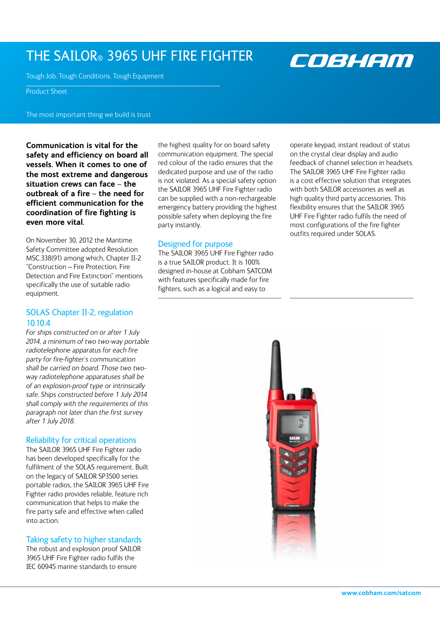# THE SAILOR® 3965 UHF FIRE FIGHTER

Tough Job. Tough Conditions. Tough Equipment

Product Sheet

The most important thing we build is trust

**Communication is vital for the safety and efficiency on board all vessels. When it comes to one of the most extreme and dangerous situation crews can face – the outbreak of a fire – the need for efficient communication for the coordination of fire fighting is even more vital.**

On November 30, 2012 the Maritime Safety Committee adopted Resolution MSC.338(91) among which, Chapter II-2 "Construction – Fire Protection, Fire Detection and Fire Extinction" mentions specifically the use of suitable radio equipment.

## SOLAS Chapter II-2, regulation 10.10.4

*For ships constructed on or after 1 July 2014, a minimum of two two-way portable radiotelephone apparatus for each fire party for fire-fighter´s communication shall be carried on board. Those two twoway radiotelephone apparatuses shall be of an explosion-proof type or intrinsically safe. Ships constructed before 1 July 2014 shall comply with the requirements of this paragraph not later than the first survey after 1 July 2018.*

#### Reliability for critical operations

The SAILOR 3965 UHF Fire Fighter radio has been developed specifically for the fulfilment of the SOLAS requirement. Built on the legacy of SAILOR SP3500 series portable radios, the SAILOR 3965 UHF Fire Fighter radio provides reliable, feature rich communication that helps to make the fire party safe and effective when called into action.

### Taking safety to higher standards

The robust and explosion proof SAILOR 3965 UHF Fire Fighter radio fulfils the IEC 60945 marine standards to ensure

the highest quality for on board safety communication equipment. The special red colour of the radio ensures that the dedicated purpose and use of the radio is not violated. As a special safety option the SAILOR 3965 UHF Fire Fighter radio can be supplied with a non-rechargeable emergency battery providing the highest possible safety when deploying the fire party instantly.

#### Designed for purpose

The SAILOR 3965 UHF Fire Fighter radio is a true SAILOR product. It is 100% designed in-house at Cobham SATCOM with features specifically made for fire fighters, such as a logical and easy to

operate keypad, instant readout of status on the crystal clear display and audio feedback of channel selection in headsets. The SAILOR 3965 UHF Fire Fighter radio is a cost effective solution that integrates with both SAILOR accessories as well as high quality third party accessories. This flexibility ensures that the SAILOR 3965 UHF Fire Fighter radio fulfils the need of most configurations of the fire fighter outfits required under SOLAS.

COBHAM